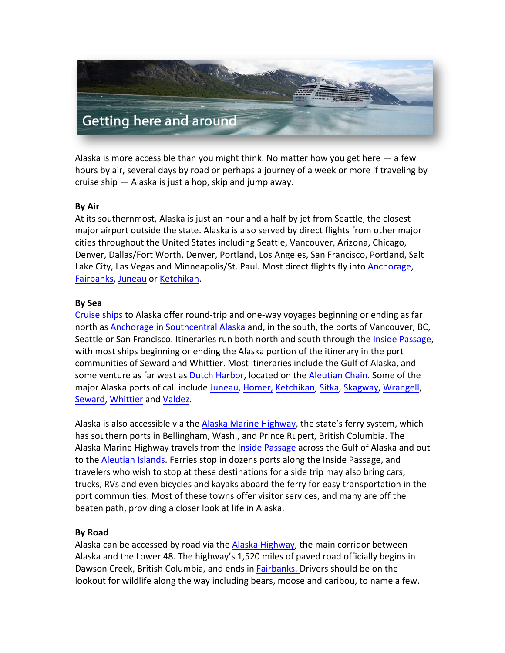

Alaska is more accessible than you might think. No matter how you get here  $-$  a few hours by air, several days by road or perhaps a journey of a week or more if traveling by cruise ship  $-$  Alaska is just a hop, skip and jump away.

# **By Air**

At its southernmost, Alaska is just an hour and a half by jet from Seattle, the closest major airport outside the state. Alaska is also served by direct flights from other major cities throughout the United States including Seattle, Vancouver, Arizona, Chicago, Denver, Dallas/Fort Worth, Denver, Portland, Los Angeles, San Francisco, Portland, Salt Lake City, Las Vegas and Minneapolis/St. Paul. Most direct flights fly into Anchorage, Fairbanks, Juneau or Ketchikan.

#### **By Sea**

Cruise ships to Alaska offer round-trip and one-way voyages beginning or ending as far north as Anchorage in Southcentral Alaska and, in the south, the ports of Vancouver, BC, Seattle or San Francisco. Itineraries run both north and south through the Inside Passage, with most ships beginning or ending the Alaska portion of the itinerary in the port communities of Seward and Whittier. Most itineraries include the Gulf of Alaska, and some venture as far west as Dutch Harbor, located on the Aleutian Chain. Some of the major Alaska ports of call include Juneau, Homer, Ketchikan, Sitka, Skagway, Wrangell, Seward, Whittier and Valdez.

Alaska is also accessible via the Alaska Marine Highway, the state's ferry system, which has southern ports in Bellingham, Wash., and Prince Rupert, British Columbia. The Alaska Marine Highway travels from the Inside Passage across the Gulf of Alaska and out to the Aleutian Islands. Ferries stop in dozens ports along the Inside Passage, and travelers who wish to stop at these destinations for a side trip may also bring cars, trucks, RVs and even bicycles and kayaks aboard the ferry for easy transportation in the port communities. Most of these towns offer visitor services, and many are off the beaten path, providing a closer look at life in Alaska.

# **By Road**

Alaska can be accessed by road via the Alaska Highway, the main corridor between Alaska and the Lower 48. The highway's 1,520 miles of paved road officially begins in Dawson Creek, British Columbia, and ends in Fairbanks. Drivers should be on the lookout for wildlife along the way including bears, moose and caribou, to name a few.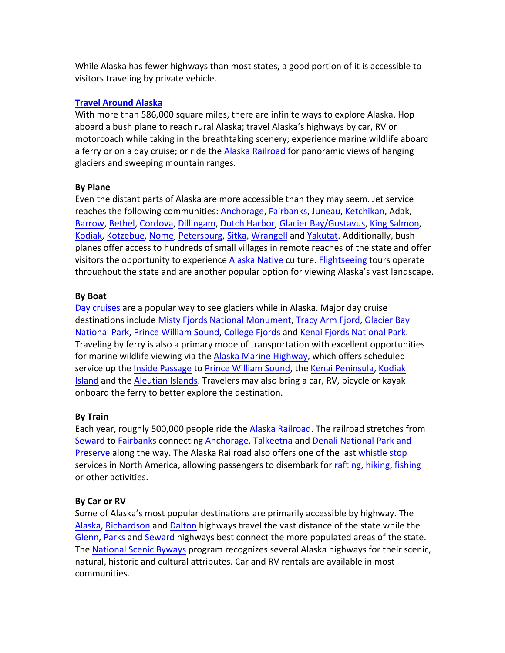While Alaska has fewer highways than most states, a good portion of it is accessible to visitors traveling by private vehicle.

#### **Travel Around Alaska**

With more than 586,000 square miles, there are infinite ways to explore Alaska. Hop aboard a bush plane to reach rural Alaska; travel Alaska's highways by car, RV or motorcoach while taking in the breathtaking scenery; experience marine wildlife aboard a ferry or on a day cruise; or ride the Alaska Railroad for panoramic views of hanging glaciers and sweeping mountain ranges.

#### **By Plane**

Even the distant parts of Alaska are more accessible than they may seem. Jet service reaches the following communities: Anchorage, Fairbanks, Juneau, Ketchikan, Adak, Barrow, Bethel, Cordova, Dillingam, Dutch Harbor, Glacier Bay/Gustavus, King Salmon, Kodiak, Kotzebue, Nome, Petersburg, Sitka, Wrangell and Yakutat. Additionally, bush planes offer access to hundreds of small villages in remote reaches of the state and offer visitors the opportunity to experience Alaska Native culture. Flightseeing tours operate throughout the state and are another popular option for viewing Alaska's vast landscape.

#### **By Boat**

Day cruises are a popular way to see glaciers while in Alaska. Major day cruise destinations include Misty Fjords National Monument, Tracy Arm Fjord, Glacier Bay National Park, Prince William Sound, College Fjords and Kenai Fjords National Park. Traveling by ferry is also a primary mode of transportation with excellent opportunities for marine wildlife viewing via the Alaska Marine Highway, which offers scheduled service up the Inside Passage to Prince William Sound, the Kenai Peninsula, Kodiak Island and the Aleutian Islands. Travelers may also bring a car, RV, bicycle or kayak onboard the ferry to better explore the destination.

# **By Train**

Each year, roughly 500,000 people ride the Alaska Railroad. The railroad stretches from Seward to Fairbanks connecting Anchorage, Talkeetna and Denali National Park and Preserve along the way. The Alaska Railroad also offers one of the last whistle stop services in North America, allowing passengers to disembark for rafting, hiking, fishing or other activities.

# **By Car or RV**

Some of Alaska's most popular destinations are primarily accessible by highway. The Alaska, Richardson and Dalton highways travel the vast distance of the state while the Glenn, Parks and Seward highways best connect the more populated areas of the state. The National Scenic Byways program recognizes several Alaska highways for their scenic, natural, historic and cultural attributes. Car and RV rentals are available in most communities.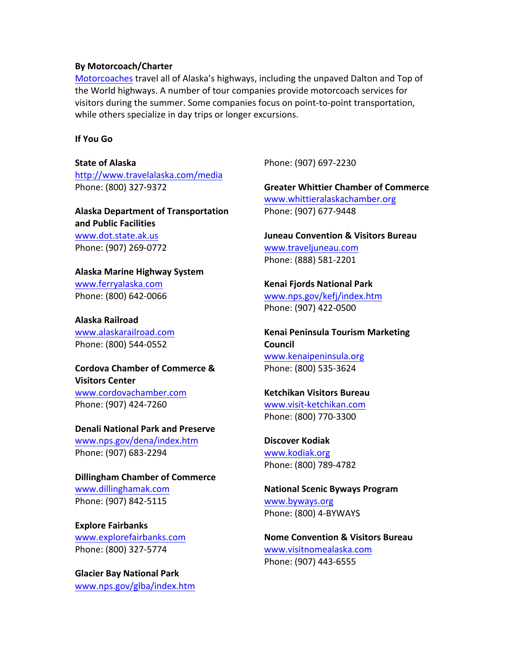#### **By Motorcoach/Charter**

Motorcoaches travel all of Alaska's highways, including the unpaved Dalton and Top of the World highways. A number of tour companies provide motorcoach services for visitors during the summer. Some companies focus on point-to-point transportation, while others specialize in day trips or longer excursions.

#### **If You Go**

# **State of Alaska**

http://www.travelalaska.com/media Phone: (800) 327-9372

# **Alaska Department of Transportation and Public Facilities**

www.dot.state.ak.us Phone: (907) 269-0772

# **Alaska Marine Highway System** www.ferryalaska.com

Phone: (800) 642-0066

**Alaska Railroad** www.alaskarailroad.com Phone: (800) 544-0552

#### **Cordova Chamber of Commerce & Visitors Center**

www.cordovachamber.com Phone: (907) 424-7260

# **Denali National Park and Preserve**

www.nps.gov/dena/index.htm Phone: (907) 683-2294

**Dillingham Chamber of Commerce** www.dillinghamak.com Phone: (907) 842-5115

**Explore Fairbanks** www.explorefairbanks.com Phone: (800) 327-5774

**Glacier Bay National Park** www.nps.gov/glba/index.htm Phone: (907) 697-2230

**Greater Whittier Chamber of Commerce** www.whittieralaskachamber.org Phone: (907) 677-9448

**Juneau Convention & Visitors Bureau** www.traveljuneau.com Phone: (888) 581-2201

#### **Kenai Fjords National Park** www.nps.gov/kefj/index.htm

Phone: (907) 422-0500

**Kenai Peninsula Tourism Marketing Council** www.kenaipeninsula.org Phone: (800) 535-3624

# **Ketchikan Visitors Bureau** www.visit-ketchikan.com Phone: (800) 770-3300

**Discover Kodiak** www.kodiak.org Phone: (800) 789-4782

**National Scenic Byways Program** www.byways.org Phone: (800) 4-BYWAYS

**Nome Convention & Visitors Bureau** www.visitnomealaska.com Phone: (907) 443-6555